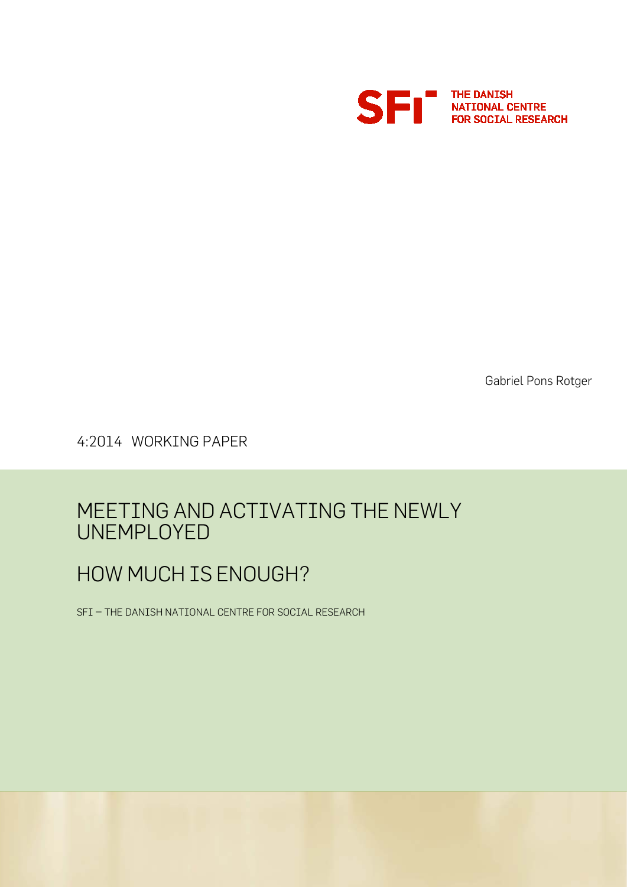

Gabriel Pons Rotger

4:2014 WORKING PAPER

# MEETING AND ACTIVATING THE NEWLY UNEMPLOYED

# HOW MUCH IS ENOUGH?

SFI – THE DANISH NATIONAL CENTRE FOR SOCIAL RESEARCH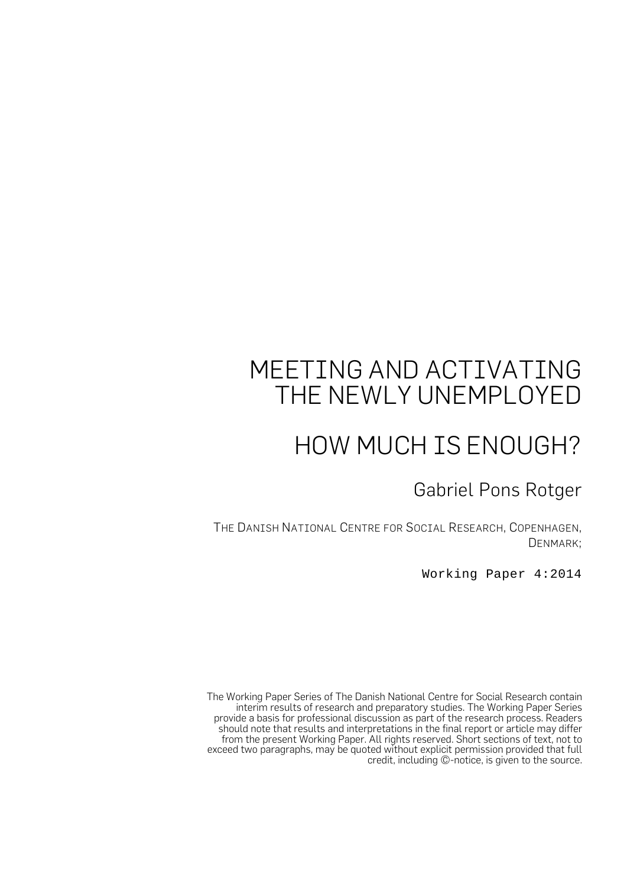# MEETING AND ACTIVATING THE NEWLY UNEMPLOYED

# HOW MUCH IS ENOUGH?

Gabriel Pons Rotger

THE DANISH NATIONAL CENTRE FOR SOCIAL RESEARCH, COPENHAGEN, DENMARK;

Working Paper 4:2014

The Working Paper Series of The Danish National Centre for Social Research contain interim results of research and preparatory studies. The Working Paper Series provide a basis for professional discussion as part of the research process. Readers should note that results and interpretations in the final report or article may differ from the present Working Paper. All rights reserved. Short sections of text, not to exceed two paragraphs, may be quoted without explicit permission provided that full credit, including ©-notice, is given to the source.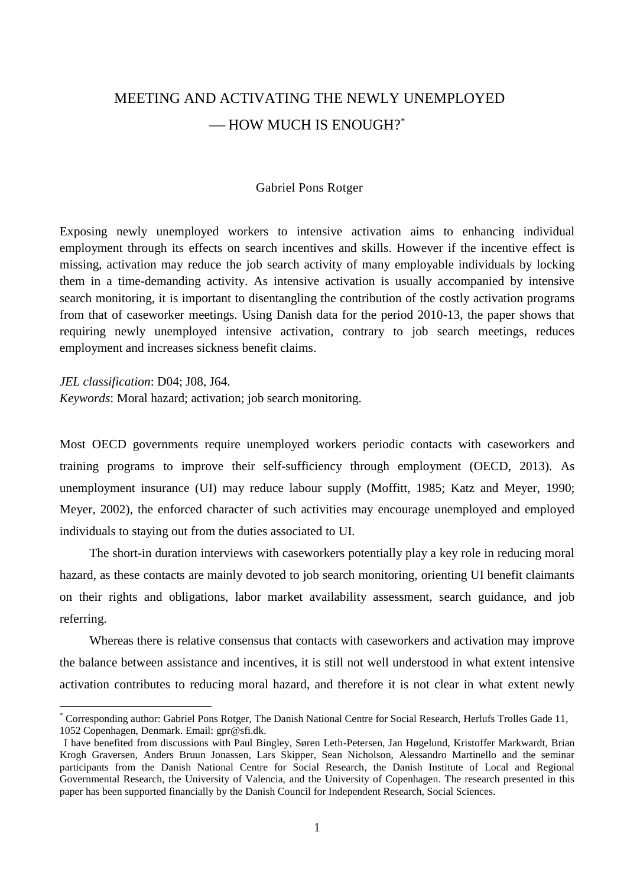# MEETING AND ACTIVATING THE NEWLY UNEMPLOYED -HOW MUCH IS ENOUGH?\*

#### Gabriel Pons Rotger

Exposing newly unemployed workers to intensive activation aims to enhancing individual employment through its effects on search incentives and skills. However if the incentive effect is missing, activation may reduce the job search activity of many employable individuals by locking them in a time-demanding activity. As intensive activation is usually accompanied by intensive search monitoring, it is important to disentangling the contribution of the costly activation programs from that of caseworker meetings. Using Danish data for the period 2010-13, the paper shows that requiring newly unemployed intensive activation, contrary to job search meetings, reduces employment and increases sickness benefit claims.

*JEL classification*: D04; J08, J64.

1

*Keywords*: Moral hazard; activation; job search monitoring.

Most OECD governments require unemployed workers periodic contacts with caseworkers and training programs to improve their self-sufficiency through employment (OECD, 2013). As unemployment insurance (UI) may reduce labour supply (Moffitt, 1985; Katz and Meyer, 1990; Meyer, 2002), the enforced character of such activities may encourage unemployed and employed individuals to staying out from the duties associated to UI.

The short-in duration interviews with caseworkers potentially play a key role in reducing moral hazard, as these contacts are mainly devoted to job search monitoring, orienting UI benefit claimants on their rights and obligations, labor market availability assessment, search guidance, and job referring.

Whereas there is relative consensus that contacts with caseworkers and activation may improve the balance between assistance and incentives, it is still not well understood in what extent intensive activation contributes to reducing moral hazard, and therefore it is not clear in what extent newly

<sup>\*</sup> Corresponding author: Gabriel Pons Rotger, The Danish National Centre for Social Research, Herlufs Trolles Gade 11, 1052 Copenhagen, Denmark. Email: gpr@sfi.dk.

I have benefited from discussions with Paul Bingley, Søren Leth-Petersen, Jan Høgelund, Kristoffer Markwardt, Brian Krogh Graversen, Anders Bruun Jonassen, Lars Skipper, Sean Nicholson, Alessandro Martinello and the seminar participants from the Danish National Centre for Social Research, the Danish Institute of Local and Regional Governmental Research, the University of Valencia, and the University of Copenhagen. The research presented in this paper has been supported financially by the Danish Council for Independent Research, Social Sciences.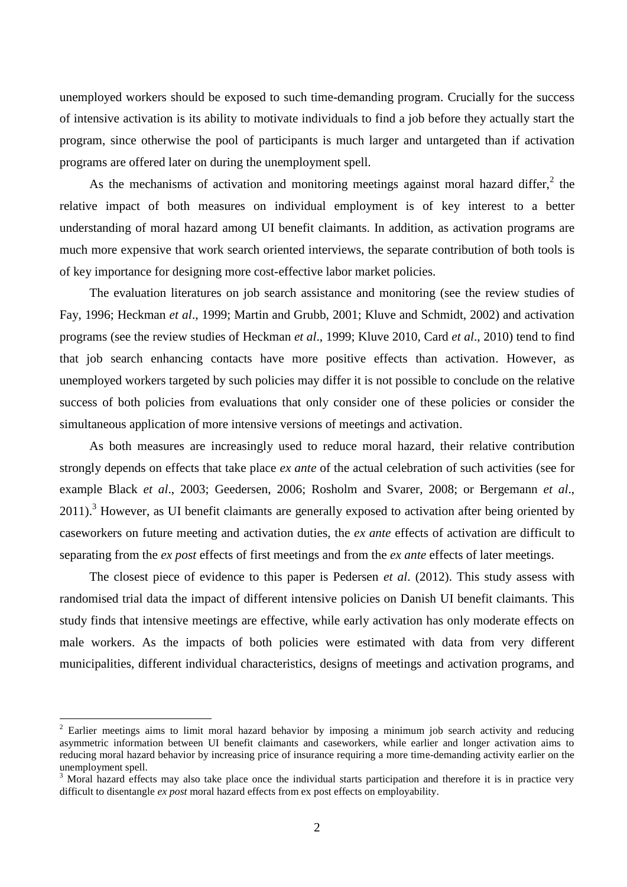unemployed workers should be exposed to such time-demanding program. Crucially for the success of intensive activation is its ability to motivate individuals to find a job before they actually start the program, since otherwise the pool of participants is much larger and untargeted than if activation programs are offered later on during the unemployment spell.

As the mechanisms of activation and monitoring meetings against moral hazard differ, $\frac{2}{3}$  the relative impact of both measures on individual employment is of key interest to a better understanding of moral hazard among UI benefit claimants. In addition, as activation programs are much more expensive that work search oriented interviews, the separate contribution of both tools is of key importance for designing more cost-effective labor market policies.

The evaluation literatures on job search assistance and monitoring (see the review studies of Fay, 1996; Heckman *et al*., 1999; Martin and Grubb, 2001; Kluve and Schmidt, 2002) and activation programs (see the review studies of Heckman *et al*., 1999; Kluve 2010, Card *et al*., 2010) tend to find that job search enhancing contacts have more positive effects than activation. However, as unemployed workers targeted by such policies may differ it is not possible to conclude on the relative success of both policies from evaluations that only consider one of these policies or consider the simultaneous application of more intensive versions of meetings and activation.

As both measures are increasingly used to reduce moral hazard, their relative contribution strongly depends on effects that take place *ex ante* of the actual celebration of such activities (see for example Black *et al*., 2003; Geedersen, 2006; Rosholm and Svarer, 2008; or Bergemann *et al*., 2011).<sup>3</sup> However, as UI benefit claimants are generally exposed to activation after being oriented by caseworkers on future meeting and activation duties, the *ex ante* effects of activation are difficult to separating from the *ex post* effects of first meetings and from the *ex ante* effects of later meetings.

The closest piece of evidence to this paper is Pedersen *et al*. (2012). This study assess with randomised trial data the impact of different intensive policies on Danish UI benefit claimants. This study finds that intensive meetings are effective, while early activation has only moderate effects on male workers. As the impacts of both policies were estimated with data from very different municipalities, different individual characteristics, designs of meetings and activation programs, and

<sup>&</sup>lt;sup>2</sup> Earlier meetings aims to limit moral hazard behavior by imposing a minimum job search activity and reducing asymmetric information between UI benefit claimants and caseworkers, while earlier and longer activation aims to reducing moral hazard behavior by increasing price of insurance requiring a more time-demanding activity earlier on the unemployment spell.

<sup>&</sup>lt;sup>3</sup> Moral hazard effects may also take place once the individual starts participation and therefore it is in practice very difficult to disentangle *ex post* moral hazard effects from ex post effects on employability.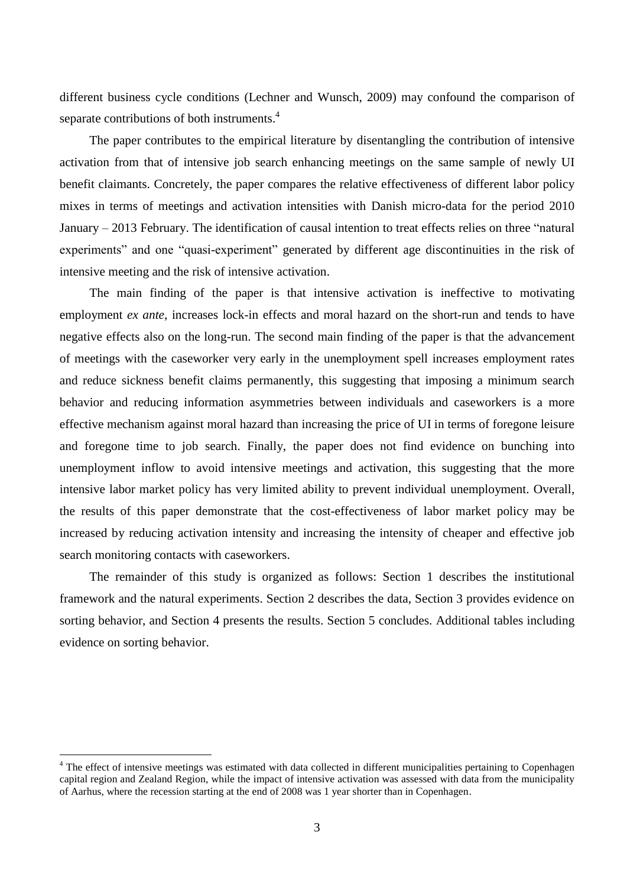different business cycle conditions (Lechner and Wunsch, 2009) may confound the comparison of separate contributions of both instruments.<sup>4</sup>

The paper contributes to the empirical literature by disentangling the contribution of intensive activation from that of intensive job search enhancing meetings on the same sample of newly UI benefit claimants. Concretely, the paper compares the relative effectiveness of different labor policy mixes in terms of meetings and activation intensities with Danish micro-data for the period 2010 January – 2013 February. The identification of causal intention to treat effects relies on three "natural experiments" and one "quasi-experiment" generated by different age discontinuities in the risk of intensive meeting and the risk of intensive activation.

The main finding of the paper is that intensive activation is ineffective to motivating employment *ex ante*, increases lock-in effects and moral hazard on the short-run and tends to have negative effects also on the long-run. The second main finding of the paper is that the advancement of meetings with the caseworker very early in the unemployment spell increases employment rates and reduce sickness benefit claims permanently, this suggesting that imposing a minimum search behavior and reducing information asymmetries between individuals and caseworkers is a more effective mechanism against moral hazard than increasing the price of UI in terms of foregone leisure and foregone time to job search. Finally, the paper does not find evidence on bunching into unemployment inflow to avoid intensive meetings and activation, this suggesting that the more intensive labor market policy has very limited ability to prevent individual unemployment. Overall, the results of this paper demonstrate that the cost-effectiveness of labor market policy may be increased by reducing activation intensity and increasing the intensity of cheaper and effective job search monitoring contacts with caseworkers.

The remainder of this study is organized as follows: Section 1 describes the institutional framework and the natural experiments. Section 2 describes the data, Section 3 provides evidence on sorting behavior, and Section 4 presents the results. Section 5 concludes. Additional tables including evidence on sorting behavior.

<sup>&</sup>lt;sup>4</sup> The effect of intensive meetings was estimated with data collected in different municipalities pertaining to Copenhagen capital region and Zealand Region, while the impact of intensive activation was assessed with data from the municipality of Aarhus, where the recession starting at the end of 2008 was 1 year shorter than in Copenhagen.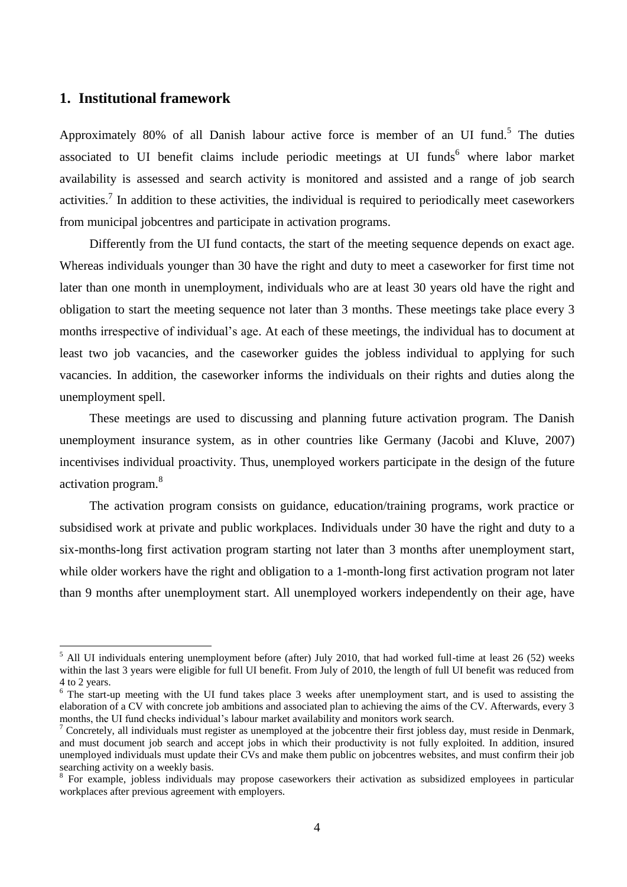## **1. Institutional framework**

1

Approximately 80% of all Danish labour active force is member of an UI fund.<sup>5</sup> The duties associated to UI benefit claims include periodic meetings at UI funds $<sup>6</sup>$  where labor market</sup> availability is assessed and search activity is monitored and assisted and a range of job search activities.<sup>7</sup> In addition to these activities, the individual is required to periodically meet caseworkers from municipal jobcentres and participate in activation programs.

Differently from the UI fund contacts, the start of the meeting sequence depends on exact age. Whereas individuals younger than 30 have the right and duty to meet a caseworker for first time not later than one month in unemployment, individuals who are at least 30 years old have the right and obligation to start the meeting sequence not later than 3 months. These meetings take place every 3 months irrespective of individual's age. At each of these meetings, the individual has to document at least two job vacancies, and the caseworker guides the jobless individual to applying for such vacancies. In addition, the caseworker informs the individuals on their rights and duties along the unemployment spell.

These meetings are used to discussing and planning future activation program. The Danish unemployment insurance system, as in other countries like Germany (Jacobi and Kluve, 2007) incentivises individual proactivity. Thus, unemployed workers participate in the design of the future activation program.<sup>8</sup>

The activation program consists on guidance, education/training programs, work practice or subsidised work at private and public workplaces. Individuals under 30 have the right and duty to a six-months-long first activation program starting not later than 3 months after unemployment start, while older workers have the right and obligation to a 1-month-long first activation program not later than 9 months after unemployment start. All unemployed workers independently on their age, have

 $<sup>5</sup>$  All UI individuals entering unemployment before (after) July 2010, that had worked full-time at least 26 (52) weeks</sup> within the last 3 years were eligible for full UI benefit. From July of 2010, the length of full UI benefit was reduced from 4 to 2 years.

<sup>&</sup>lt;sup>6</sup> The start-up meeting with the UI fund takes place 3 weeks after unemployment start, and is used to assisting the elaboration of a CV with concrete job ambitions and associated plan to achieving the aims of the CV. Afterwards, every 3 months, the UI fund checks individual's labour market availability and monitors work search.

<sup>&</sup>lt;sup>7</sup> Concretely, all individuals must register as unemployed at the jobcentre their first jobless day, must reside in Denmark, and must document job search and accept jobs in which their productivity is not fully exploited. In addition, insured unemployed individuals must update their CVs and make them public on jobcentres websites, and must confirm their job searching activity on a weekly basis.

<sup>&</sup>lt;sup>8</sup> For example, jobless individuals may propose caseworkers their activation as subsidized employees in particular workplaces after previous agreement with employers.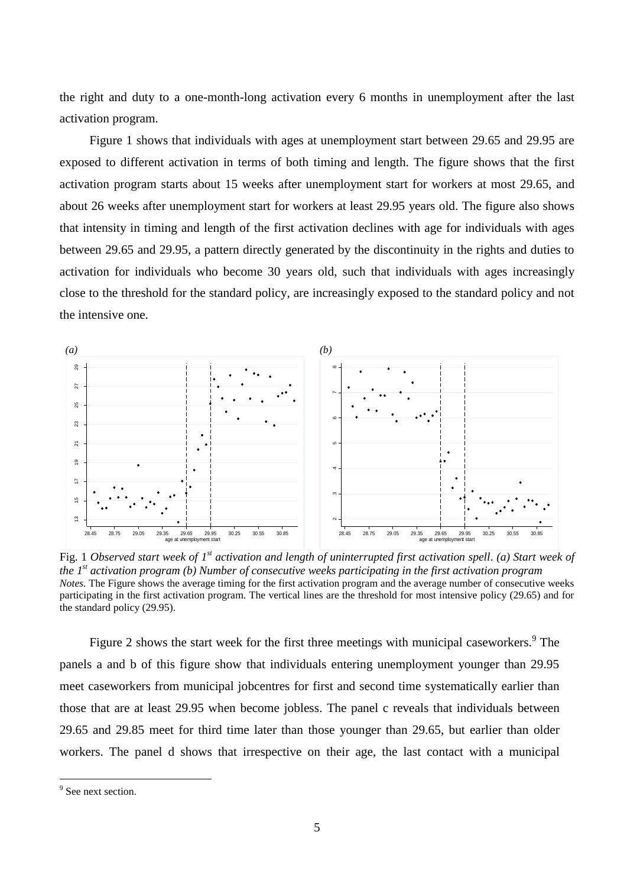the right and duty to a one-month-long activation every 6 months in unemployment after the last activation program.

Figure 1 shows that individuals with ages at unemployment start between 29.65 and 29.95 are exposed to different activation in terms of both timing and length. The figure shows that the first activation program starts about 15 weeks after unemployment start for workers at most 29.65, and about 26 weeks after unemployment start for workers at least 29.95 years old. The figure also shows that intensity in timing and length of the first activation declines with age for individuals with ages between 29.65 and 29.95, a pattern directly generated by the discontinuity in the rights and duties to activation for individuals who become 30 years old, such that individuals with ages increasingly close to the threshold for the standard policy, are increasingly exposed to the standard policy and not the intensive one.



Fig. 1 Observed start week of 1<sup>st</sup> activation and length of uninterrupted first activation spell. (a) Start week of *the 1 st activation program (b) Number of consecutive weeks participating in the first activation program Notes.* The Figure shows the average timing for the first activation program and the average number of consecutive weeks participating in the first activation program. The vertical lines are the threshold for most intensive policy (29.65) and for the standard policy (29.95).

Figure 2 shows the start week for the first three meetings with municipal caseworkers. $\degree$  The panels a and b of this figure show that individuals entering unemployment younger than 29.95 meet caseworkers from municipal jobcentres for first and second time systematically earlier than those that are at least 29.95 when become jobless. The panel c reveals that individuals between 29.65 and 29.85 meet for third time later than those younger than 29.65, but earlier than older workers. The panel d shows that irrespective on their age, the last contact with a municipal

 $9$  See next section.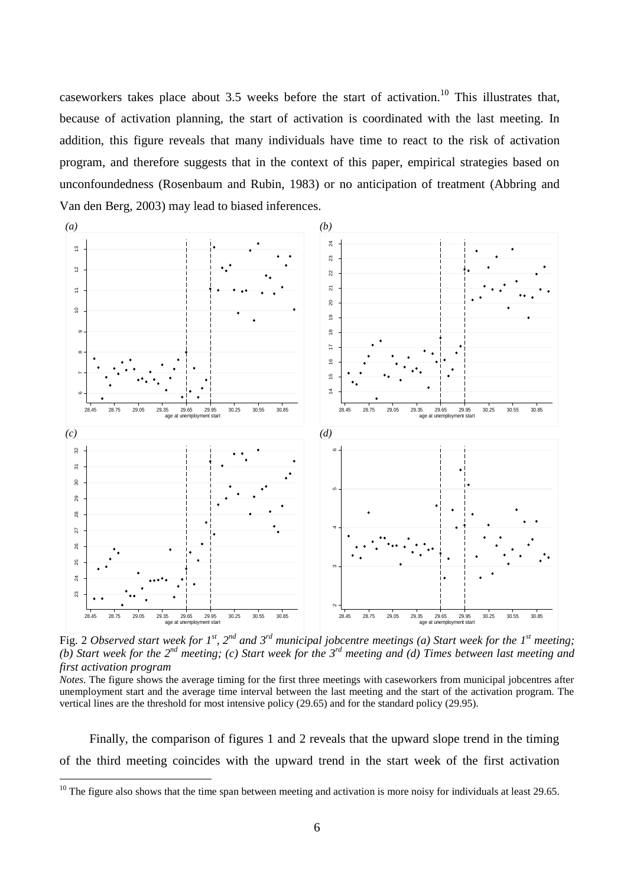caseworkers takes place about 3.5 weeks before the start of activation.<sup>10</sup> This illustrates that, because of activation planning, the start of activation is coordinated with the last meeting. In addition, this figure reveals that many individuals have time to react to the risk of activation program, and therefore suggests that in the context of this paper, empirical strategies based on unconfoundedness (Rosenbaum and Rubin, 1983) or no anticipation of treatment (Abbring and Van den Berg, 2003) may lead to biased inferences.



Fig. 2 Observed start week for  $I^{st}$ ,  $2^{nd}$  and  $3^{rd}$  municipal jobcentre meetings (a) Start week for the  $I^{st}$  meeting; (b) Start week for the  $2^{nd}$  meeting; (c) Start week for the  $3^{rd}$  meeting and (d) Times between last meeting and *first activation program*

*Notes.* The figure shows the average timing for the first three meetings with caseworkers from municipal jobcentres after unemployment start and the average time interval between the last meeting and the start of the activation program. The vertical lines are the threshold for most intensive policy (29.65) and for the standard policy (29.95).

Finally, the comparison of figures 1 and 2 reveals that the upward slope trend in the timing of the third meeting coincides with the upward trend in the start week of the first activation

<sup>&</sup>lt;sup>10</sup> The figure also shows that the time span between meeting and activation is more noisy for individuals at least 29.65.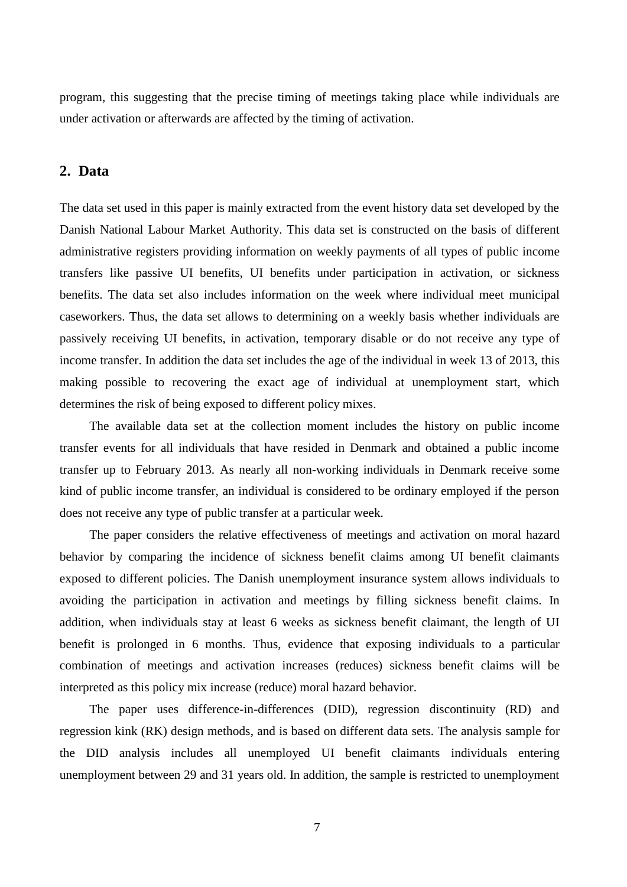program, this suggesting that the precise timing of meetings taking place while individuals are under activation or afterwards are affected by the timing of activation.

## **2. Data**

The data set used in this paper is mainly extracted from the event history data set developed by the Danish National Labour Market Authority. This data set is constructed on the basis of different administrative registers providing information on weekly payments of all types of public income transfers like passive UI benefits, UI benefits under participation in activation, or sickness benefits. The data set also includes information on the week where individual meet municipal caseworkers. Thus, the data set allows to determining on a weekly basis whether individuals are passively receiving UI benefits, in activation, temporary disable or do not receive any type of income transfer. In addition the data set includes the age of the individual in week 13 of 2013, this making possible to recovering the exact age of individual at unemployment start, which determines the risk of being exposed to different policy mixes.

The available data set at the collection moment includes the history on public income transfer events for all individuals that have resided in Denmark and obtained a public income transfer up to February 2013. As nearly all non-working individuals in Denmark receive some kind of public income transfer, an individual is considered to be ordinary employed if the person does not receive any type of public transfer at a particular week.

The paper considers the relative effectiveness of meetings and activation on moral hazard behavior by comparing the incidence of sickness benefit claims among UI benefit claimants exposed to different policies. The Danish unemployment insurance system allows individuals to avoiding the participation in activation and meetings by filling sickness benefit claims. In addition, when individuals stay at least 6 weeks as sickness benefit claimant, the length of UI benefit is prolonged in 6 months. Thus, evidence that exposing individuals to a particular combination of meetings and activation increases (reduces) sickness benefit claims will be interpreted as this policy mix increase (reduce) moral hazard behavior.

The paper uses difference-in-differences (DID), regression discontinuity (RD) and regression kink (RK) design methods, and is based on different data sets. The analysis sample for the DID analysis includes all unemployed UI benefit claimants individuals entering unemployment between 29 and 31 years old. In addition, the sample is restricted to unemployment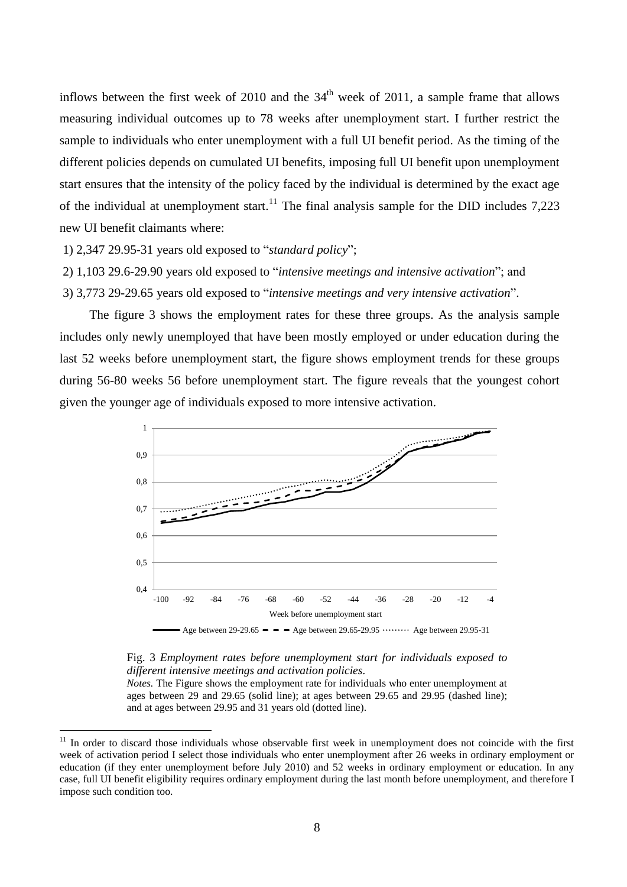inflows between the first week of 2010 and the  $34<sup>th</sup>$  week of 2011, a sample frame that allows measuring individual outcomes up to 78 weeks after unemployment start. I further restrict the sample to individuals who enter unemployment with a full UI benefit period. As the timing of the different policies depends on cumulated UI benefits, imposing full UI benefit upon unemployment start ensures that the intensity of the policy faced by the individual is determined by the exact age of the individual at unemployment start.<sup>11</sup> The final analysis sample for the DID includes 7,223 new UI benefit claimants where:

1) 2,347 29.95-31 years old exposed to "*standard policy*";

<u>.</u>

2) 1,103 29.6-29.90 years old exposed to "*intensive meetings and intensive activation*"; and

3) 3,773 29-29.65 years old exposed to "*intensive meetings and very intensive activation*".

The figure 3 shows the employment rates for these three groups. As the analysis sample includes only newly unemployed that have been mostly employed or under education during the last 52 weeks before unemployment start, the figure shows employment trends for these groups during 56-80 weeks 56 before unemployment start. The figure reveals that the youngest cohort given the younger age of individuals exposed to more intensive activation.



#### Fig. 3 *Employment rates before unemployment start for individuals exposed to different intensive meetings and activation policies.*

*Notes.* The Figure shows the employment rate for individuals who enter unemployment at ages between 29 and 29.65 (solid line); at ages between 29.65 and 29.95 (dashed line); and at ages between 29.95 and 31 years old (dotted line).

 $11$  In order to discard those individuals whose observable first week in unemployment does not coincide with the first week of activation period I select those individuals who enter unemployment after 26 weeks in ordinary employment or education (if they enter unemployment before July 2010) and 52 weeks in ordinary employment or education. In any case, full UI benefit eligibility requires ordinary employment during the last month before unemployment, and therefore I impose such condition too.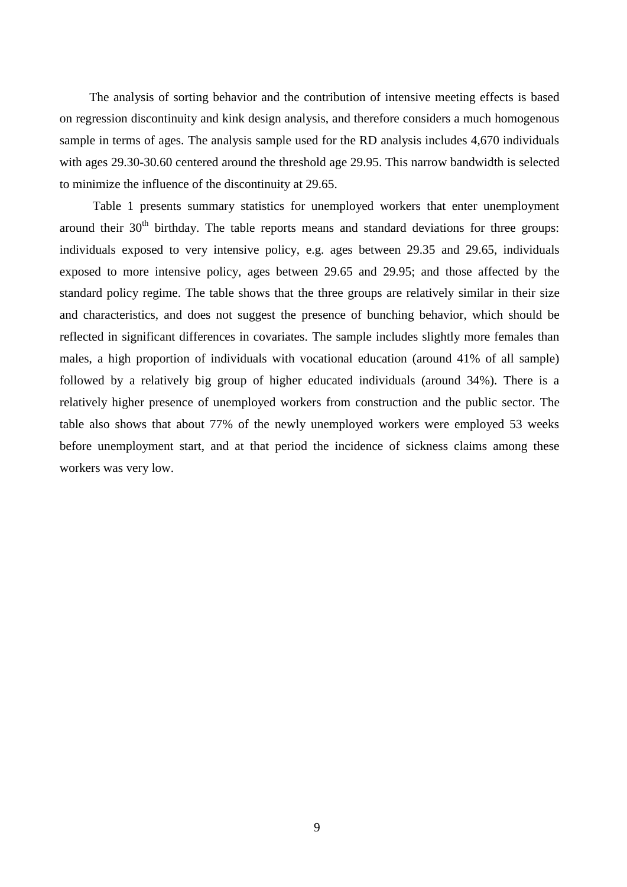The analysis of sorting behavior and the contribution of intensive meeting effects is based on regression discontinuity and kink design analysis, and therefore considers a much homogenous sample in terms of ages. The analysis sample used for the RD analysis includes 4,670 individuals with ages 29.30-30.60 centered around the threshold age 29.95. This narrow bandwidth is selected to minimize the influence of the discontinuity at 29.65.

Table 1 presents summary statistics for unemployed workers that enter unemployment around their  $30<sup>th</sup>$  birthday. The table reports means and standard deviations for three groups: individuals exposed to very intensive policy, e.g. ages between 29.35 and 29.65, individuals exposed to more intensive policy, ages between 29.65 and 29.95; and those affected by the standard policy regime. The table shows that the three groups are relatively similar in their size and characteristics, and does not suggest the presence of bunching behavior, which should be reflected in significant differences in covariates. The sample includes slightly more females than males, a high proportion of individuals with vocational education (around 41% of all sample) followed by a relatively big group of higher educated individuals (around 34%). There is a relatively higher presence of unemployed workers from construction and the public sector. The table also shows that about 77% of the newly unemployed workers were employed 53 weeks before unemployment start, and at that period the incidence of sickness claims among these workers was very low.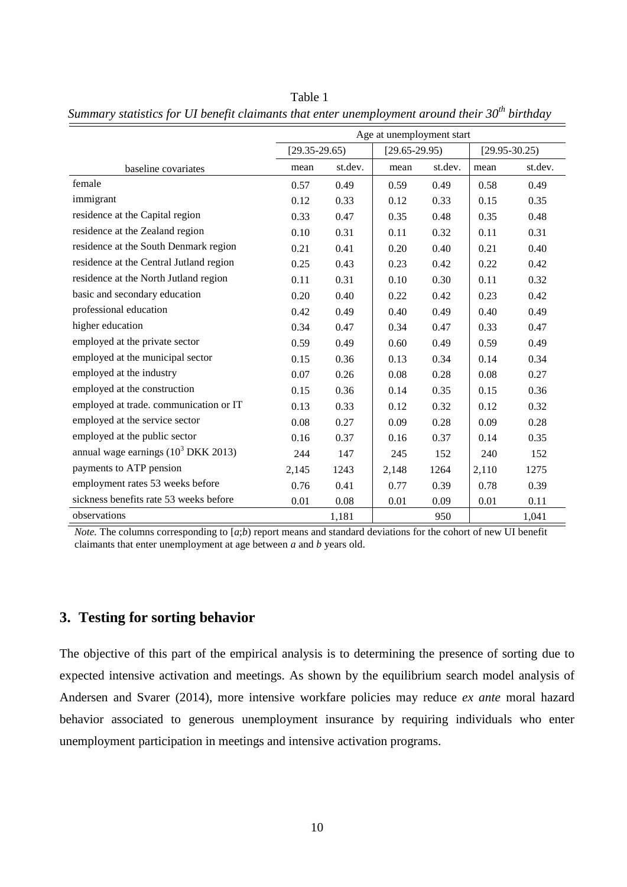|                                                 | Age at unemployment start |         |                   |         |                   |         |
|-------------------------------------------------|---------------------------|---------|-------------------|---------|-------------------|---------|
|                                                 | $[29.35-29.65]$           |         | $[29.65 - 29.95]$ |         | $[29.95 - 30.25]$ |         |
| baseline covariates                             | mean                      | st.dev. | mean              | st.dev. | mean              | st.dev. |
| female                                          | 0.57                      | 0.49    | 0.59              | 0.49    | 0.58              | 0.49    |
| immigrant                                       | 0.12                      | 0.33    | 0.12              | 0.33    | 0.15              | 0.35    |
| residence at the Capital region                 | 0.33                      | 0.47    | 0.35              | 0.48    | 0.35              | 0.48    |
| residence at the Zealand region                 | 0.10                      | 0.31    | 0.11              | 0.32    | 0.11              | 0.31    |
| residence at the South Denmark region           | 0.21                      | 0.41    | 0.20              | 0.40    | 0.21              | 0.40    |
| residence at the Central Jutland region         | 0.25                      | 0.43    | 0.23              | 0.42    | 0.22              | 0.42    |
| residence at the North Jutland region           | 0.11                      | 0.31    | 0.10              | 0.30    | 0.11              | 0.32    |
| basic and secondary education                   | 0.20                      | 0.40    | 0.22              | 0.42    | 0.23              | 0.42    |
| professional education                          | 0.42                      | 0.49    | 0.40              | 0.49    | 0.40              | 0.49    |
| higher education                                | 0.34                      | 0.47    | 0.34              | 0.47    | 0.33              | 0.47    |
| employed at the private sector                  | 0.59                      | 0.49    | 0.60              | 0.49    | 0.59              | 0.49    |
| employed at the municipal sector                | 0.15                      | 0.36    | 0.13              | 0.34    | 0.14              | 0.34    |
| employed at the industry                        | 0.07                      | 0.26    | 0.08              | 0.28    | 0.08              | 0.27    |
| employed at the construction                    | 0.15                      | 0.36    | 0.14              | 0.35    | 0.15              | 0.36    |
| employed at trade. communication or IT          | 0.13                      | 0.33    | 0.12              | 0.32    | 0.12              | 0.32    |
| employed at the service sector                  | 0.08                      | 0.27    | 0.09              | 0.28    | 0.09              | 0.28    |
| employed at the public sector                   | 0.16                      | 0.37    | 0.16              | 0.37    | 0.14              | 0.35    |
| annual wage earnings $(10^3 \text{ DKK } 2013)$ | 244                       | 147     | 245               | 152     | 240               | 152     |
| payments to ATP pension                         | 2,145                     | 1243    | 2,148             | 1264    | 2,110             | 1275    |
| employment rates 53 weeks before                | 0.76                      | 0.41    | 0.77              | 0.39    | 0.78              | 0.39    |
| sickness benefits rate 53 weeks before          | 0.01                      | 0.08    | 0.01              | 0.09    | 0.01              | 0.11    |
| observations                                    |                           | 1,181   |                   | 950     |                   | 1,041   |

Table 1 *Summary statistics for UI benefit claimants that enter unemployment around their 30th birthday*

*Note.* The columns corresponding to  $[a,b)$  report means and standard deviations for the cohort of new UI benefit claimants that enter unemployment at age between *a* and *b* years old.

## **3. Testing for sorting behavior**

The objective of this part of the empirical analysis is to determining the presence of sorting due to expected intensive activation and meetings. As shown by the equilibrium search model analysis of Andersen and Svarer (2014), more intensive workfare policies may reduce *ex ante* moral hazard behavior associated to generous unemployment insurance by requiring individuals who enter unemployment participation in meetings and intensive activation programs.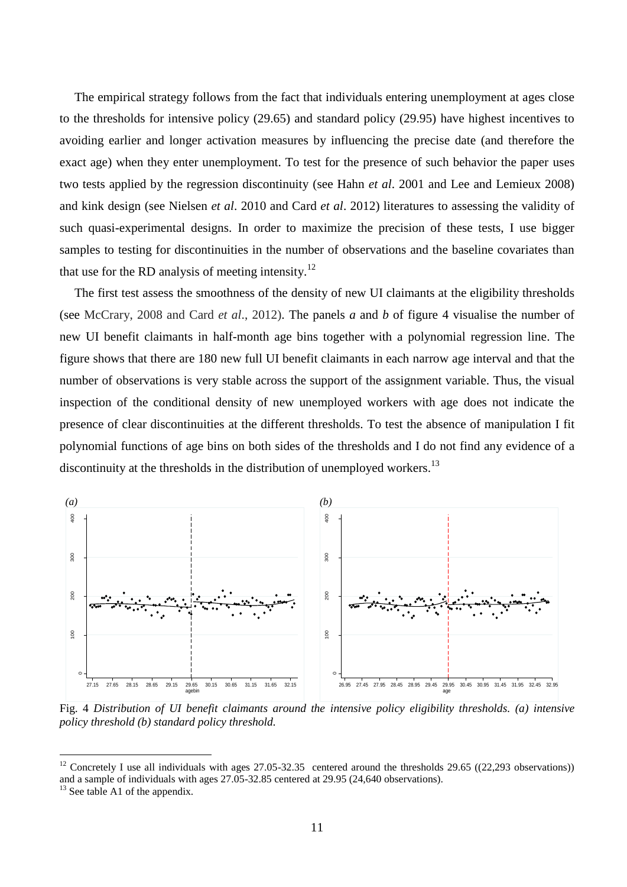The empirical strategy follows from the fact that individuals entering unemployment at ages close to the thresholds for intensive policy (29.65) and standard policy (29.95) have highest incentives to avoiding earlier and longer activation measures by influencing the precise date (and therefore the exact age) when they enter unemployment. To test for the presence of such behavior the paper uses two tests applied by the regression discontinuity (see Hahn *et al*. 2001 and Lee and Lemieux 2008) and kink design (see Nielsen *et al*. 2010 and Card *et al*. 2012) literatures to assessing the validity of such quasi-experimental designs. In order to maximize the precision of these tests, I use bigger samples to testing for discontinuities in the number of observations and the baseline covariates than that use for the RD analysis of meeting intensity.<sup>12</sup>

The first test assess the smoothness of the density of new UI claimants at the eligibility thresholds (see McCrary, 2008 and Card *et al*., 2012). The panels *a* and *b* of figure 4 visualise the number of new UI benefit claimants in half-month age bins together with a polynomial regression line. The figure shows that there are 180 new full UI benefit claimants in each narrow age interval and that the number of observations is very stable across the support of the assignment variable. Thus, the visual inspection of the conditional density of new unemployed workers with age does not indicate the presence of clear discontinuities at the different thresholds. To test the absence of manipulation I fit polynomial functions of age bins on both sides of the thresholds and I do not find any evidence of a discontinuity at the thresholds in the distribution of unemployed workers.<sup>13</sup>



Fig. 4 *Distribution of UI benefit claimants around the intensive policy eligibility thresholds. (a) intensive policy threshold (b) standard policy threshold.*

<sup>&</sup>lt;sup>12</sup> Concretely I use all individuals with ages  $27.05$ -32.35 centered around the thresholds  $29.65$  ((22,293 observations)) and a sample of individuals with ages 27.05-32.85 centered at 29.95 (24,640 observations).

 $13$  See table A1 of the appendix.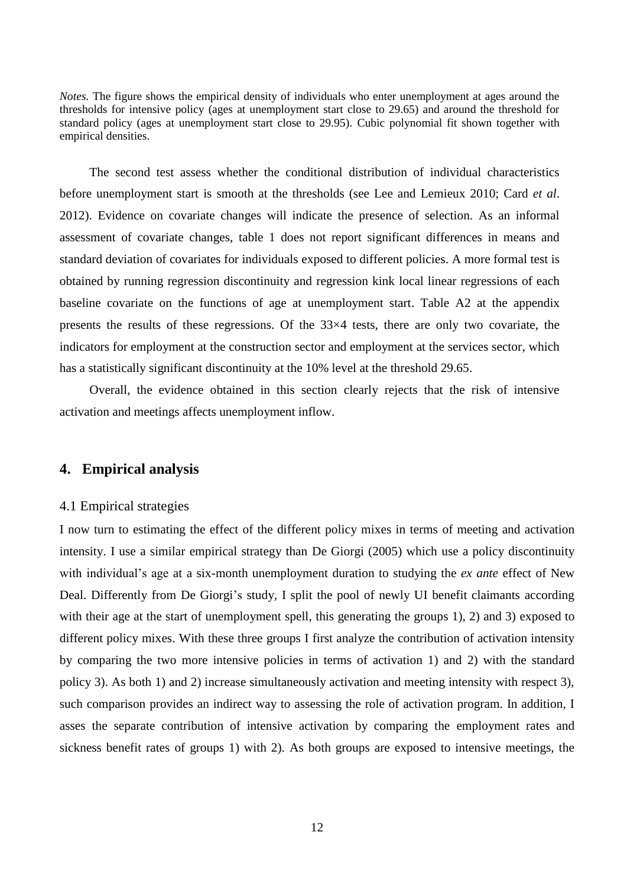*Notes.* The figure shows the empirical density of individuals who enter unemployment at ages around the thresholds for intensive policy (ages at unemployment start close to 29.65) and around the threshold for standard policy (ages at unemployment start close to 29.95). Cubic polynomial fit shown together with empirical densities.

The second test assess whether the conditional distribution of individual characteristics before unemployment start is smooth at the thresholds (see Lee and Lemieux 2010; Card *et al*. 2012). Evidence on covariate changes will indicate the presence of selection. As an informal assessment of covariate changes, table 1 does not report significant differences in means and standard deviation of covariates for individuals exposed to different policies. A more formal test is obtained by running regression discontinuity and regression kink local linear regressions of each baseline covariate on the functions of age at unemployment start. Table A2 at the appendix presents the results of these regressions. Of the 33×4 tests, there are only two covariate, the indicators for employment at the construction sector and employment at the services sector, which has a statistically significant discontinuity at the 10% level at the threshold 29.65.

Overall, the evidence obtained in this section clearly rejects that the risk of intensive activation and meetings affects unemployment inflow.

## **4. Empirical analysis**

#### 4.1 Empirical strategies

I now turn to estimating the effect of the different policy mixes in terms of meeting and activation intensity. I use a similar empirical strategy than De Giorgi (2005) which use a policy discontinuity with individual's age at a six-month unemployment duration to studying the *ex ante* effect of New Deal. Differently from De Giorgi's study, I split the pool of newly UI benefit claimants according with their age at the start of unemployment spell, this generating the groups 1), 2) and 3) exposed to different policy mixes. With these three groups I first analyze the contribution of activation intensity by comparing the two more intensive policies in terms of activation 1) and 2) with the standard policy 3). As both 1) and 2) increase simultaneously activation and meeting intensity with respect 3), such comparison provides an indirect way to assessing the role of activation program. In addition, I asses the separate contribution of intensive activation by comparing the employment rates and sickness benefit rates of groups 1) with 2). As both groups are exposed to intensive meetings, the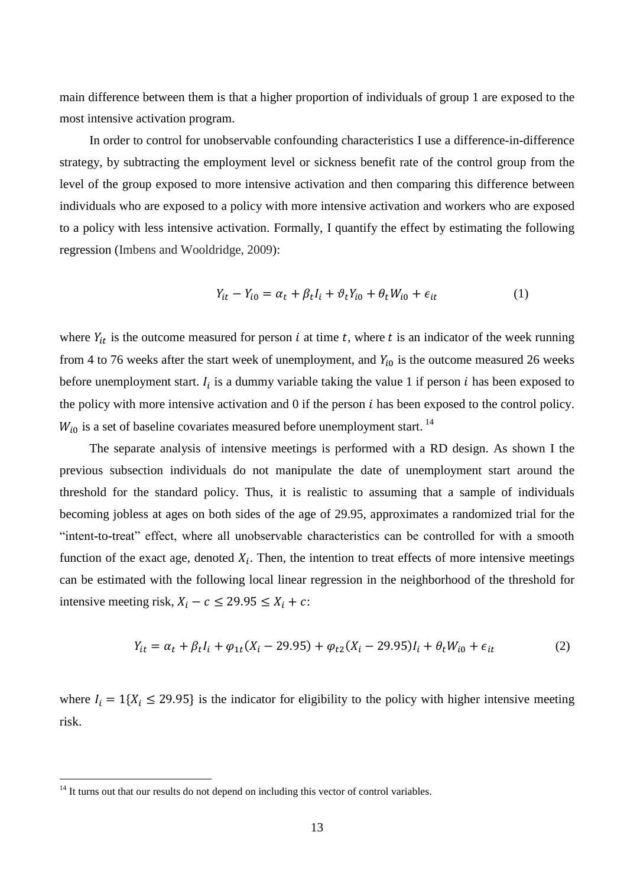main difference between them is that a higher proportion of individuals of group 1 are exposed to the most intensive activation program.

In order to control for unobservable confounding characteristics I use a difference-in-difference strategy, by subtracting the employment level or sickness benefit rate of the control group from the level of the group exposed to more intensive activation and then comparing this difference between individuals who are exposed to a policy with more intensive activation and workers who are exposed to a policy with less intensive activation. Formally, I quantify the effect by estimating the following regression (Imbens and Wooldridge, 2009):

$$
Y_{it} - Y_{i0} = \alpha_t + \beta_t I_i + \vartheta_t Y_{i0} + \theta_t W_{i0} + \epsilon_{it}
$$
 (1)

where  $Y_{it}$  is the outcome measured for person i at time t, where t is an indicator of the week running from 4 to 76 weeks after the start week of unemployment, and  $Y_{i0}$  is the outcome measured 26 weeks before unemployment start.  $I_i$  is a dummy variable taking the value 1 if person i has been exposed to the policy with more intensive activation and  $0$  if the person  $i$  has been exposed to the control policy.  $W_{i0}$  is a set of baseline covariates measured before unemployment start.<sup>14</sup>

The separate analysis of intensive meetings is performed with a RD design. As shown I the previous subsection individuals do not manipulate the date of unemployment start around the threshold for the standard policy. Thus, it is realistic to assuming that a sample of individuals becoming jobless at ages on both sides of the age of 29.95, approximates a randomized trial for the "intent-to-treat" effect, where all unobservable characteristics can be controlled for with a smooth function of the exact age, denoted  $X_i$ . Then, the intention to treat effects of more intensive meetings can be estimated with the following local linear regression in the neighborhood of the threshold for intensive meeting risk,  $X_i - c \le 29.95 \le X_i + c$ :

$$
Y_{it} = \alpha_t + \beta_t I_i + \varphi_{1t}(X_i - 29.95) + \varphi_{t2}(X_i - 29.95)I_i + \theta_t W_{i0} + \epsilon_{it}
$$
(2)

where  $I_i = 1\{X_i \leq 29.95\}$  is the indicator for eligibility to the policy with higher intensive meeting risk.

 $14$  It turns out that our results do not depend on including this vector of control variables.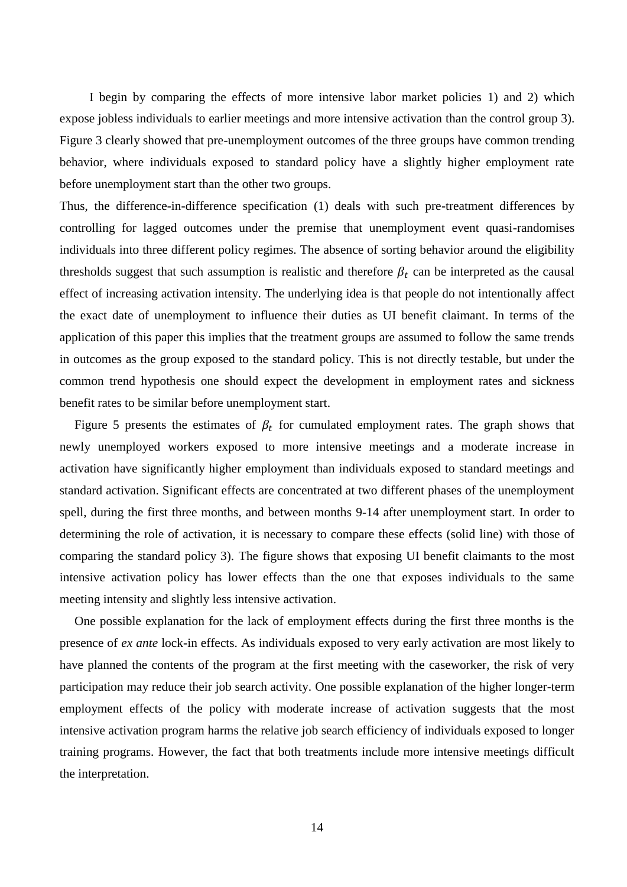I begin by comparing the effects of more intensive labor market policies 1) and 2) which expose jobless individuals to earlier meetings and more intensive activation than the control group 3). Figure 3 clearly showed that pre-unemployment outcomes of the three groups have common trending behavior, where individuals exposed to standard policy have a slightly higher employment rate before unemployment start than the other two groups.

Thus, the difference-in-difference specification (1) deals with such pre-treatment differences by controlling for lagged outcomes under the premise that unemployment event quasi-randomises individuals into three different policy regimes. The absence of sorting behavior around the eligibility thresholds suggest that such assumption is realistic and therefore  $\beta_t$  can be interpreted as the causal effect of increasing activation intensity. The underlying idea is that people do not intentionally affect the exact date of unemployment to influence their duties as UI benefit claimant. In terms of the application of this paper this implies that the treatment groups are assumed to follow the same trends in outcomes as the group exposed to the standard policy. This is not directly testable, but under the common trend hypothesis one should expect the development in employment rates and sickness benefit rates to be similar before unemployment start.

Figure 5 presents the estimates of  $\beta_t$  for cumulated employment rates. The graph shows that newly unemployed workers exposed to more intensive meetings and a moderate increase in activation have significantly higher employment than individuals exposed to standard meetings and standard activation. Significant effects are concentrated at two different phases of the unemployment spell, during the first three months, and between months 9-14 after unemployment start. In order to determining the role of activation, it is necessary to compare these effects (solid line) with those of comparing the standard policy 3). The figure shows that exposing UI benefit claimants to the most intensive activation policy has lower effects than the one that exposes individuals to the same meeting intensity and slightly less intensive activation.

One possible explanation for the lack of employment effects during the first three months is the presence of *ex ante* lock-in effects. As individuals exposed to very early activation are most likely to have planned the contents of the program at the first meeting with the caseworker, the risk of very participation may reduce their job search activity. One possible explanation of the higher longer-term employment effects of the policy with moderate increase of activation suggests that the most intensive activation program harms the relative job search efficiency of individuals exposed to longer training programs. However, the fact that both treatments include more intensive meetings difficult the interpretation.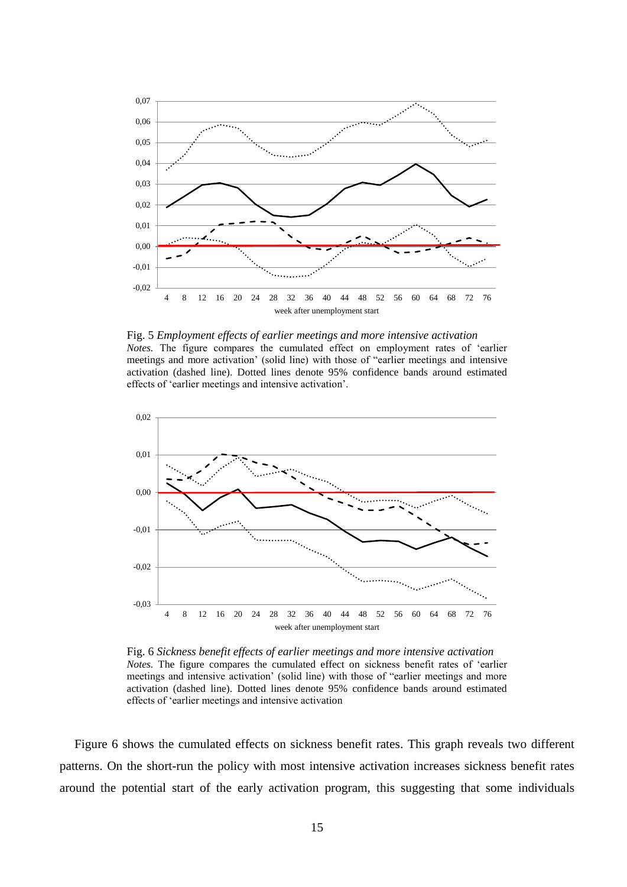

Fig. 5 *Employment effects of earlier meetings and more intensive activation Notes.* The figure compares the cumulated effect on employment rates of 'earlier meetings and more activation' (solid line) with those of "earlier meetings and intensive activation (dashed line). Dotted lines denote 95% confidence bands around estimated effects of 'earlier meetings and intensive activation'.



Fig. 6 *Sickness benefit effects of earlier meetings and more intensive activation Notes.* The figure compares the cumulated effect on sickness benefit rates of 'earlier meetings and intensive activation' (solid line) with those of "earlier meetings and more activation (dashed line). Dotted lines denote 95% confidence bands around estimated effects of 'earlier meetings and intensive activation

Figure 6 shows the cumulated effects on sickness benefit rates. This graph reveals two different patterns. On the short-run the policy with most intensive activation increases sickness benefit rates around the potential start of the early activation program, this suggesting that some individuals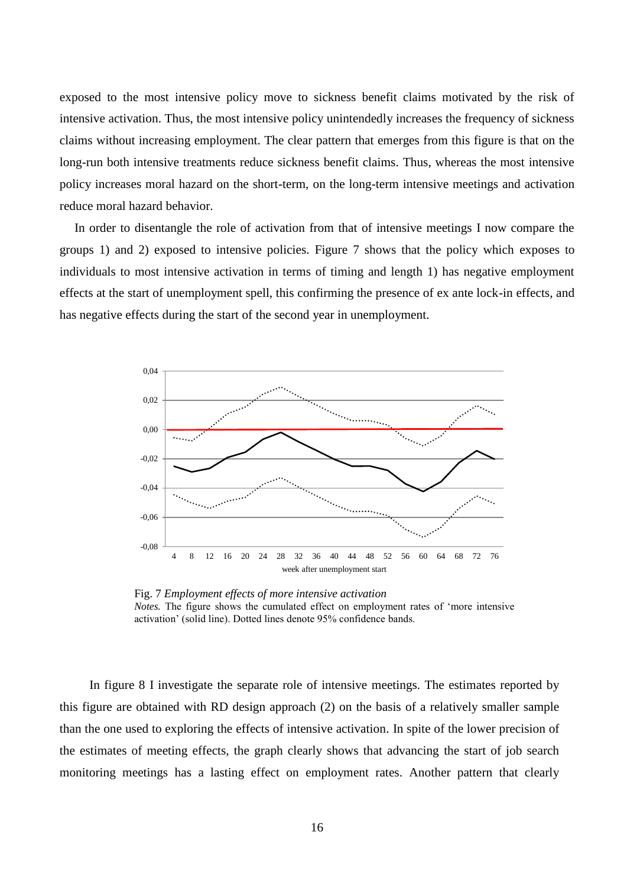exposed to the most intensive policy move to sickness benefit claims motivated by the risk of intensive activation. Thus, the most intensive policy unintendedly increases the frequency of sickness claims without increasing employment. The clear pattern that emerges from this figure is that on the long-run both intensive treatments reduce sickness benefit claims. Thus, whereas the most intensive policy increases moral hazard on the short-term, on the long-term intensive meetings and activation reduce moral hazard behavior.

In order to disentangle the role of activation from that of intensive meetings I now compare the groups 1) and 2) exposed to intensive policies. Figure 7 shows that the policy which exposes to individuals to most intensive activation in terms of timing and length 1) has negative employment effects at the start of unemployment spell, this confirming the presence of ex ante lock-in effects, and has negative effects during the start of the second year in unemployment.



Fig. 7 *Employment effects of more intensive activation Notes.* The figure shows the cumulated effect on employment rates of 'more intensive activation' (solid line). Dotted lines denote 95% confidence bands.

In figure 8 I investigate the separate role of intensive meetings. The estimates reported by this figure are obtained with RD design approach (2) on the basis of a relatively smaller sample than the one used to exploring the effects of intensive activation. In spite of the lower precision of the estimates of meeting effects, the graph clearly shows that advancing the start of job search monitoring meetings has a lasting effect on employment rates. Another pattern that clearly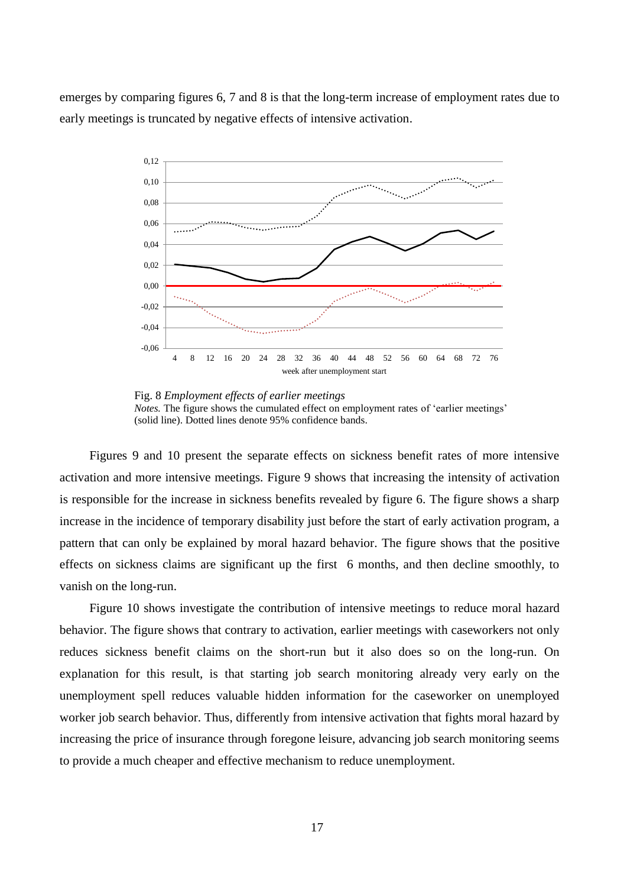emerges by comparing figures 6, 7 and 8 is that the long-term increase of employment rates due to early meetings is truncated by negative effects of intensive activation.



Fig. 8 *Employment effects of earlier meetings Notes*. The figure shows the cumulated effect on employment rates of 'earlier meetings' (solid line). Dotted lines denote 95% confidence bands.

Figures 9 and 10 present the separate effects on sickness benefit rates of more intensive activation and more intensive meetings. Figure 9 shows that increasing the intensity of activation is responsible for the increase in sickness benefits revealed by figure 6. The figure shows a sharp increase in the incidence of temporary disability just before the start of early activation program, a pattern that can only be explained by moral hazard behavior. The figure shows that the positive effects on sickness claims are significant up the first 6 months, and then decline smoothly, to vanish on the long-run.

Figure 10 shows investigate the contribution of intensive meetings to reduce moral hazard behavior. The figure shows that contrary to activation, earlier meetings with caseworkers not only reduces sickness benefit claims on the short-run but it also does so on the long-run. On explanation for this result, is that starting job search monitoring already very early on the unemployment spell reduces valuable hidden information for the caseworker on unemployed worker job search behavior. Thus, differently from intensive activation that fights moral hazard by increasing the price of insurance through foregone leisure, advancing job search monitoring seems to provide a much cheaper and effective mechanism to reduce unemployment.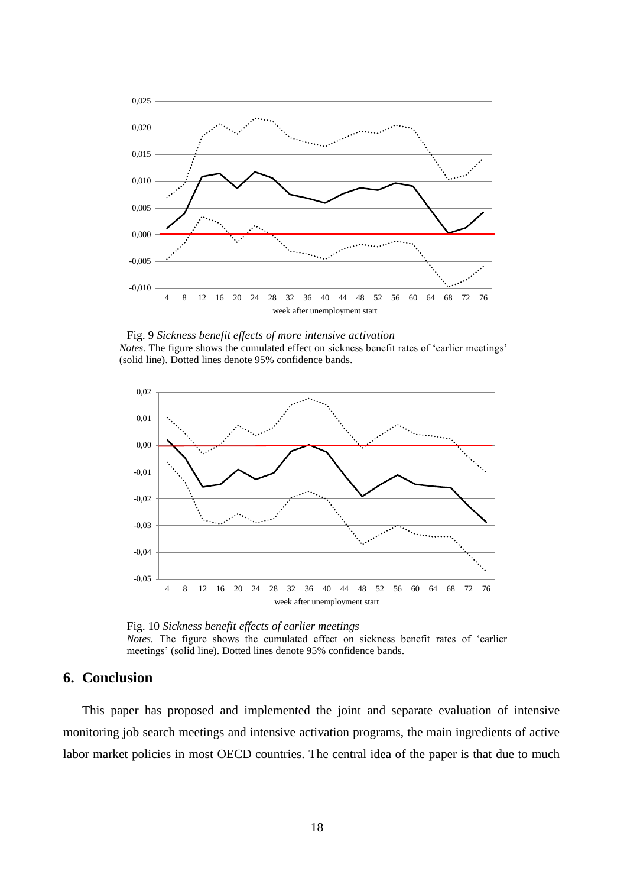

Fig. 9 *Sickness benefit effects of more intensive activation Notes.* The figure shows the cumulated effect on sickness benefit rates of 'earlier meetings' (solid line). Dotted lines denote 95% confidence bands.



Fig. 10 *Sickness benefit effects of earlier meetings Notes.* The figure shows the cumulated effect on sickness benefit rates of 'earlier meetings' (solid line). Dotted lines denote 95% confidence bands.

## **6. Conclusion**

This paper has proposed and implemented the joint and separate evaluation of intensive monitoring job search meetings and intensive activation programs, the main ingredients of active labor market policies in most OECD countries. The central idea of the paper is that due to much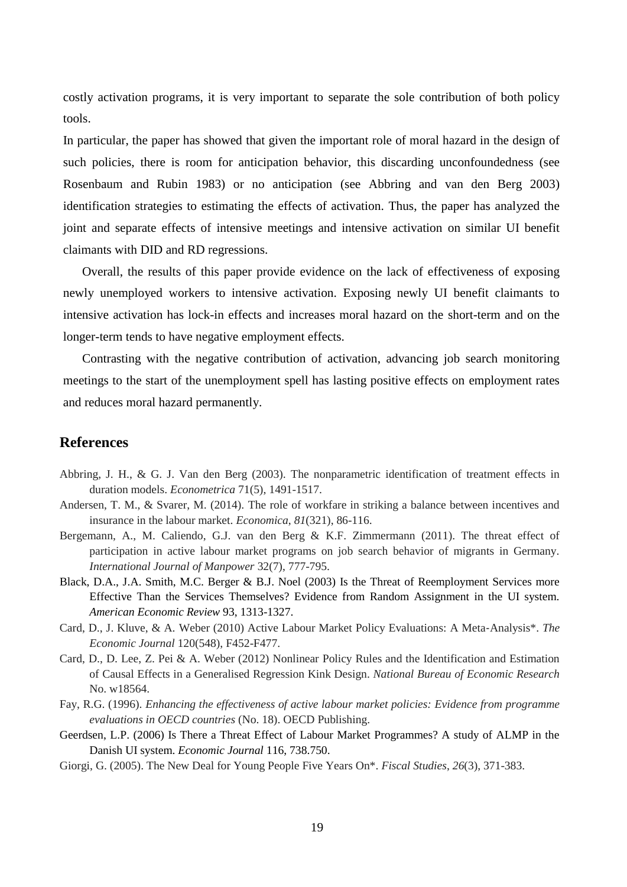costly activation programs, it is very important to separate the sole contribution of both policy tools.

In particular, the paper has showed that given the important role of moral hazard in the design of such policies, there is room for anticipation behavior, this discarding unconfoundedness (see Rosenbaum and Rubin 1983) or no anticipation (see Abbring and van den Berg 2003) identification strategies to estimating the effects of activation. Thus, the paper has analyzed the joint and separate effects of intensive meetings and intensive activation on similar UI benefit claimants with DID and RD regressions.

Overall, the results of this paper provide evidence on the lack of effectiveness of exposing newly unemployed workers to intensive activation. Exposing newly UI benefit claimants to intensive activation has lock-in effects and increases moral hazard on the short-term and on the longer-term tends to have negative employment effects.

Contrasting with the negative contribution of activation, advancing job search monitoring meetings to the start of the unemployment spell has lasting positive effects on employment rates and reduces moral hazard permanently.

### **References**

- Abbring, J. H., & G. J. Van den Berg (2003). The nonparametric identification of treatment effects in duration models. *Econometrica* 71(5), 1491-1517.
- Andersen, T. M., & Svarer, M. (2014). The role of workfare in striking a balance between incentives and insurance in the labour market. *Economica*, *81*(321), 86-116.
- Bergemann, A., M. Caliendo, G.J. van den Berg & K.F. Zimmermann (2011). The threat effect of participation in active labour market programs on job search behavior of migrants in Germany. *International Journal of Manpower* 32(7), 777-795.
- Black, D.A., J.A. Smith, M.C. Berger & B.J. Noel (2003) Is the Threat of Reemployment Services more Effective Than the Services Themselves? Evidence from Random Assignment in the UI system. *American Economic Review* 93, 1313-1327.
- Card, D., J. Kluve, & A. Weber (2010) Active Labour Market Policy Evaluations: A Meta‐Analysis\*. *The Economic Journal* 120(548), F452-F477.
- Card, D., D. Lee, Z. Pei & A. Weber (2012) Nonlinear Policy Rules and the Identification and Estimation of Causal Effects in a Generalised Regression Kink Design. *National Bureau of Economic Research* No. w18564.
- Fay, R.G. (1996). *Enhancing the effectiveness of active labour market policies: Evidence from programme evaluations in OECD countries* (No. 18). OECD Publishing.
- Geerdsen, L.P. (2006) Is There a Threat Effect of Labour Market Programmes? A study of ALMP in the Danish UI system. *Economic Journal* 116, 738.750.
- Giorgi, G. (2005). The New Deal for Young People Five Years On\*. *Fiscal Studies*, *26*(3), 371-383.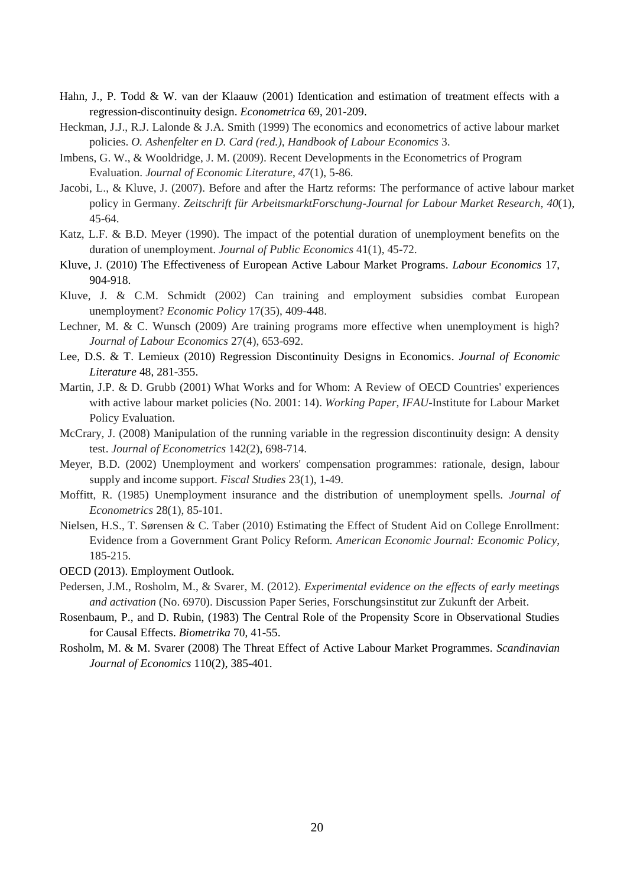- Hahn, J., P. Todd & W. van der Klaauw (2001) Identication and estimation of treatment effects with a regression-discontinuity design. *Econometrica* 69, 201-209.
- Heckman, J.J., R.J. Lalonde & J.A. Smith (1999) The economics and econometrics of active labour market policies. *O. Ashenfelter en D. Card (red.), Handbook of Labour Economics* 3.
- Imbens, G. W., & Wooldridge, J. M. (2009). Recent Developments in the Econometrics of Program Evaluation. *Journal of Economic Literature*, *47*(1), 5-86.
- Jacobi, L., & Kluve, J. (2007). Before and after the Hartz reforms: The performance of active labour market policy in Germany. *Zeitschrift für ArbeitsmarktForschung-Journal for Labour Market Research*, *40*(1), 45-64.
- Katz, L.F. & B.D. Meyer (1990). The impact of the potential duration of unemployment benefits on the duration of unemployment. *Journal of Public Economics* 41(1), 45-72.
- Kluve, J. (2010) The Effectiveness of European Active Labour Market Programs. *Labour Economics* 17, 904-918.
- Kluve, J. & C.M. Schmidt (2002) Can training and employment subsidies combat European unemployment? *Economic Policy* 17(35), 409-448.
- Lechner, M. & C. Wunsch (2009) Are training programs more effective when unemployment is high? *Journal of Labour Economics* 27(4), 653-692.
- Lee, D.S. & T. Lemieux (2010) Regression Discontinuity Designs in Economics. *Journal of Economic Literature* 48, 281-355.
- Martin, J.P. & D. Grubb (2001) What Works and for Whom: A Review of OECD Countries' experiences with active labour market policies (No. 2001: 14). *Working Paper, IFAU*-Institute for Labour Market Policy Evaluation.
- McCrary, J. (2008) Manipulation of the running variable in the regression discontinuity design: A density test. *Journal of Econometrics* 142(2), 698-714.
- Meyer, B.D. (2002) Unemployment and workers' compensation programmes: rationale, design, labour supply and income support. *Fiscal Studies* 23(1), 1-49.
- Moffitt, R. (1985) Unemployment insurance and the distribution of unemployment spells. *Journal of Econometrics* 28(1), 85-101.
- Nielsen, H.S., T. Sørensen & C. Taber (2010) Estimating the Effect of Student Aid on College Enrollment: Evidence from a Government Grant Policy Reform. *American Economic Journal: Economic Policy*, 185-215.
- OECD (2013). Employment Outlook.
- Pedersen, J.M., Rosholm, M., & Svarer, M. (2012). *Experimental evidence on the effects of early meetings and activation* (No. 6970). Discussion Paper Series, Forschungsinstitut zur Zukunft der Arbeit.
- Rosenbaum, P., and D. Rubin, (1983) The Central Role of the Propensity Score in Observational Studies for Causal Effects. *Biometrika* 70, 41-55.
- Rosholm, M. & M. Svarer (2008) The Threat Effect of Active Labour Market Programmes. *Scandinavian Journal of Economics* 110(2), 385-401.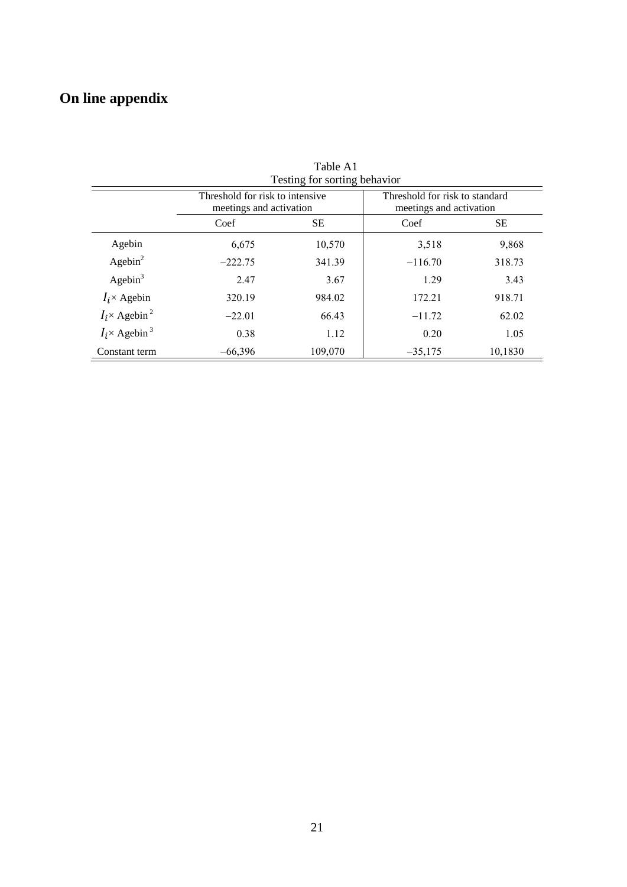# **On line appendix**

| Testing for sorting behavior     |                                                            |         |                                                           |         |  |  |  |  |
|----------------------------------|------------------------------------------------------------|---------|-----------------------------------------------------------|---------|--|--|--|--|
|                                  | Threshold for risk to intensive<br>meetings and activation |         | Threshold for risk to standard<br>meetings and activation |         |  |  |  |  |
|                                  | Coef                                                       | SЕ      | Coef                                                      | SЕ      |  |  |  |  |
| Agebin                           | 6,675                                                      | 10,570  | 3,518                                                     | 9,868   |  |  |  |  |
| Agebin <sup>2</sup>              | $-222.75$                                                  | 341.39  | $-116.70$                                                 | 318.73  |  |  |  |  |
| Agebin <sup>3</sup>              | 2.47                                                       | 3.67    | 1.29                                                      | 3.43    |  |  |  |  |
| $I_i \times$ Agebin              | 320.19                                                     | 984.02  | 172.21                                                    | 918.71  |  |  |  |  |
| $I_i \times$ Agebin <sup>2</sup> | $-22.01$                                                   | 66.43   | $-11.72$                                                  | 62.02   |  |  |  |  |
| $I_i \times$ Agebin <sup>3</sup> | 0.38                                                       | 1.12    | 0.20                                                      | 1.05    |  |  |  |  |
| Constant term                    | $-66,396$                                                  | 109,070 | $-35,175$                                                 | 10,1830 |  |  |  |  |

Table A1